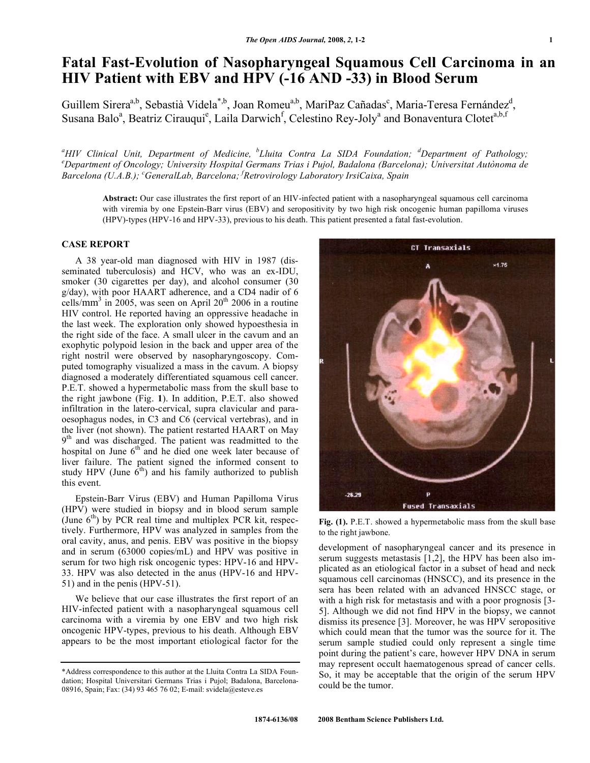# **Fatal Fast-Evolution of Nasopharyngeal Squamous Cell Carcinoma in an HIV Patient with EBV and HPV (-16 AND -33) in Blood Serum**

Guillem Sirera<sup>a,b</sup>, Sebastià Videla<sup>\*,b</sup>, Joan Romeu<sup>a,b</sup>, MariPaz Cañadas<sup>c</sup>, Maria-Teresa Fernández<sup>d</sup>, Susana Balo<sup>a</sup>, Beatriz Cirauqui<sup>e</sup>, Laila Darwich<sup>f</sup>, Celestino Rey-Joly<sup>a</sup> and Bonaventura Clotet<sup>a,b,f</sup>

<sup>a</sup>HIV Clinical Unit, Department of Medicine, <sup>b</sup>Lluita Contra La SIDA Foundation; <sup>d</sup>Department of Pathology;<br><sup>e</sup>Department of Ongeleau University Hespital Cormans Trigs i Puiel Badelona (Banaelona); University Autònoma d *Department of Oncology; University Hospital Germans Trias i Pujol, Badalona (Barcelona); Universitat Autònoma de*  Barcelona (U.A.B.); <sup>c</sup>GeneralLab, Barcelona; <sup>f</sup>Retrovirology Laboratory IrsiCaixa, Spain

**Abstract:** Our case illustrates the first report of an HIV-infected patient with a nasopharyngeal squamous cell carcinoma with viremia by one Epstein-Barr virus (EBV) and seropositivity by two high risk oncogenic human papilloma viruses (HPV)-types (HPV-16 and HPV-33), previous to his death. This patient presented a fatal fast-evolution.

## **CASE REPORT**

 A 38 year-old man diagnosed with HIV in 1987 (disseminated tuberculosis) and HCV, who was an ex-IDU, smoker (30 cigarettes per day), and alcohol consumer (30 g/day), with poor HAART adherence, and a CD4 nadir of 6 cells/mm<sup>3</sup> in 2005, was seen on April  $20^{th}$  2006 in a routine HIV control. He reported having an oppressive headache in the last week. The exploration only showed hypoesthesia in the right side of the face. A small ulcer in the cavum and an exophytic polypoid lesion in the back and upper area of the right nostril were observed by nasopharyngoscopy. Computed tomography visualized a mass in the cavum. A biopsy diagnosed a moderately differentiated squamous cell cancer. P.E.T. showed a hypermetabolic mass from the skull base to the right jawbone (Fig. **1**). In addition, P.E.T. also showed infiltration in the latero-cervical, supra clavicular and paraoesophagus nodes, in C3 and C6 (cervical vertebras), and in the liver (not shown). The patient restarted HAART on May  $9<sup>th</sup>$  and was discharged. The patient was readmitted to the hospital on June  $6<sup>th</sup>$  and he died one week later because of liver failure. The patient signed the informed consent to study HPV (June  $6<sup>th</sup>$ ) and his family authorized to publish this event.

 Epstein-Barr Virus (EBV) and Human Papilloma Virus (HPV) were studied in biopsy and in blood serum sample (June  $6<sup>th</sup>$ ) by PCR real time and multiplex PCR kit, respectively. Furthermore, HPV was analyzed in samples from the oral cavity, anus, and penis. EBV was positive in the biopsy and in serum (63000 copies/mL) and HPV was positive in serum for two high risk oncogenic types: HPV-16 and HPV-33. HPV was also detected in the anus (HPV-16 and HPV-51) and in the penis (HPV-51).

 We believe that our case illustrates the first report of an HIV-infected patient with a nasopharyngeal squamous cell carcinoma with a viremia by one EBV and two high risk oncogenic HPV-types, previous to his death. Although EBV appears to be the most important etiological factor for the



**Fig. (1).** P.E.T. showed a hypermetabolic mass from the skull base to the right jawbone.

development of nasopharyngeal cancer and its presence in serum suggests metastasis [1,2], the HPV has been also implicated as an etiological factor in a subset of head and neck squamous cell carcinomas (HNSCC), and its presence in the sera has been related with an advanced HNSCC stage, or with a high risk for metastasis and with a poor prognosis [3-5]. Although we did not find HPV in the biopsy, we cannot dismiss its presence [3]. Moreover, he was HPV seropositive which could mean that the tumor was the source for it. The serum sample studied could only represent a single time point during the patient's care, however HPV DNA in serum may represent occult haematogenous spread of cancer cells. So, it may be acceptable that the origin of the serum HPV could be the tumor.

<sup>\*</sup>Address correspondence to this author at the Lluita Contra La SIDA Foundation; Hospital Universitari Germans Trias i Pujol; Badalona, Barcelona-08916, Spain; Fax: (34) 93 465 76 02; E-mail: svidela@esteve.es